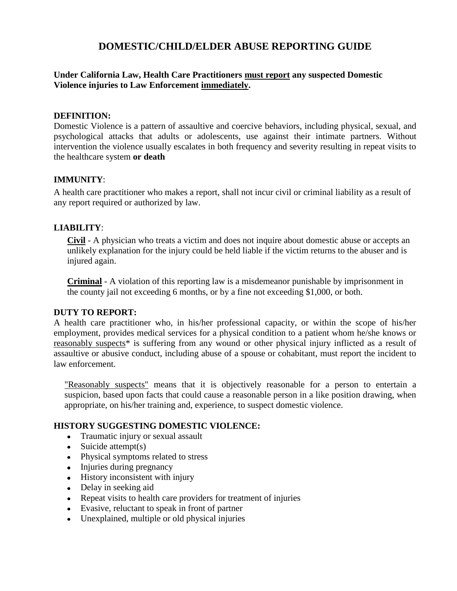# **DOMESTIC/CHILD/ELDER ABUSE REPORTING GUIDE**

**Under California Law, Health Care Practitioners must report any suspected Domestic Violence injuries to Law Enforcement immediately.**

#### **DEFINITION:**

Domestic Violence is a pattern of assaultive and coercive behaviors, including physical, sexual, and psychological attacks that adults or adolescents, use against their intimate partners. Without intervention the violence usually escalates in both frequency and severity resulting in repeat visits to the healthcare system **or death**

### **IMMUNITY**:

A health care practitioner who makes a report, shall not incur civil or criminal liability as a result of any report required or authorized by law.

### **LIABILITY**:

**Civil** - A physician who treats a victim and does not inquire about domestic abuse or accepts an unlikely explanation for the injury could be held liable if the victim returns to the abuser and is injured again.

**Criminal** - A violation of this reporting law is a misdemeanor punishable by imprisonment in the county jail not exceeding 6 months, or by a fine not exceeding \$1,000, or both.

#### **DUTY TO REPORT:**

A health care practitioner who, in his/her professional capacity, or within the scope of his/her employment, provides medical services for a physical condition to a patient whom he/she knows or reasonably suspects\* is suffering from any wound or other physical injury inflicted as a result of assaultive or abusive conduct, including abuse of a spouse or cohabitant, must report the incident to law enforcement.

"Reasonably suspects" means that it is objectively reasonable for a person to entertain a suspicion, based upon facts that could cause a reasonable person in a like position drawing, when appropriate, on his/her training and, experience, to suspect domestic violence.

#### **HISTORY SUGGESTING DOMESTIC VIOLENCE:**

- Traumatic injury or sexual assault
- $\bullet$  Suicide attempt(s)
- Physical symptoms related to stress
- Injuries during pregnancy
- History inconsistent with injury
- Delay in seeking aid
- Repeat visits to health care providers for treatment of injuries
- Evasive, reluctant to speak in front of partner
- Unexplained, multiple or old physical injuries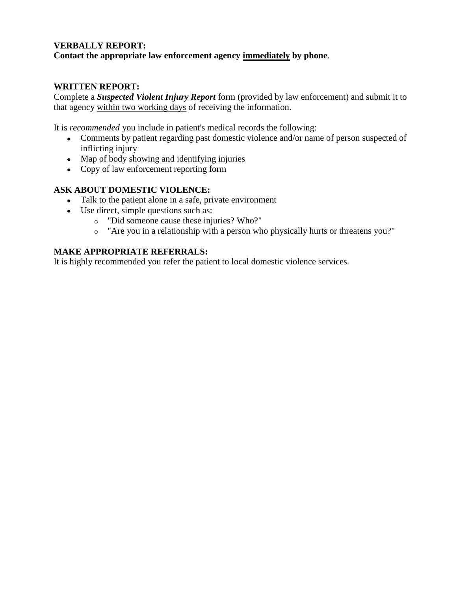### **VERBALLY REPORT: Contact the appropriate law enforcement agency immediately by phone**.

## **WRITTEN REPORT:**

Complete a *Suspected Violent Injury Report* form (provided by law enforcement) and submit it to that agency within two working days of receiving the information.

It is *recommended* you include in patient's medical records the following:

- Comments by patient regarding past domestic violence and/or name of person suspected of inflicting injury
- Map of body showing and identifying injuries
- Copy of law enforcement reporting form

### **ASK ABOUT DOMESTIC VIOLENCE:**

- Talk to the patient alone in a safe, private environment
- Use direct, simple questions such as:
	- o "Did someone cause these injuries? Who?"
	- o "Are you in a relationship with a person who physically hurts or threatens you?"

## **MAKE APPROPRIATE REFERRALS:**

It is highly recommended you refer the patient to local domestic violence services.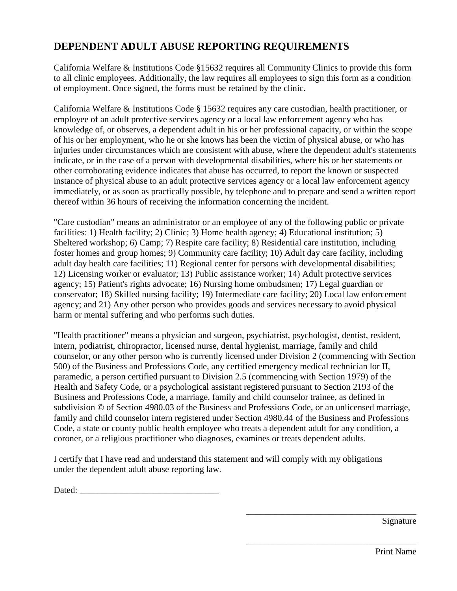# **DEPENDENT ADULT ABUSE REPORTING REQUIREMENTS**

California Welfare & Institutions Code §15632 requires all Community Clinics to provide this form to all clinic employees. Additionally, the law requires all employees to sign this form as a condition of employment. Once signed, the forms must be retained by the clinic.

California Welfare & Institutions Code § 15632 requires any care custodian, health practitioner, or employee of an adult protective services agency or a local law enforcement agency who has knowledge of, or observes, a dependent adult in his or her professional capacity, or within the scope of his or her employment, who he or she knows has been the victim of physical abuse, or who has injuries under circumstances which are consistent with abuse, where the dependent adult's statements indicate, or in the case of a person with developmental disabilities, where his or her statements or other corroborating evidence indicates that abuse has occurred, to report the known or suspected instance of physical abuse to an adult protective services agency or a local law enforcement agency immediately, or as soon as practically possible, by telephone and to prepare and send a written report thereof within 36 hours of receiving the information concerning the incident.

"Care custodian" means an administrator or an employee of any of the following public or private facilities: 1) Health facility; 2) Clinic; 3) Home health agency; 4) Educational institution; 5) Sheltered workshop; 6) Camp; 7) Respite care facility; 8) Residential care institution, including foster homes and group homes; 9) Community care facility; 10) Adult day care facility, including adult day health care facilities; 11) Regional center for persons with developmental disabilities; 12) Licensing worker or evaluator; 13) Public assistance worker; 14) Adult protective services agency; 15) Patient's rights advocate; 16) Nursing home ombudsmen; 17) Legal guardian or conservator; 18) Skilled nursing facility; 19) Intermediate care facility; 20) Local law enforcement agency; and 21) Any other person who provides goods and services necessary to avoid physical harm or mental suffering and who performs such duties.

"Health practitioner" means a physician and surgeon, psychiatrist, psychologist, dentist, resident, intern, podiatrist, chiropractor, licensed nurse, dental hygienist, marriage, family and child counselor, or any other person who is currently licensed under Division 2 (commencing with Section 500) of the Business and Professions Code, any certified emergency medical technician lor II, paramedic, a person certified pursuant to Division 2.5 (commencing with Section 1979) of the Health and Safety Code, or a psychological assistant registered pursuant to Section 2193 of the Business and Professions Code, a marriage, family and child counselor trainee, as defined in subdivision © of Section 4980.03 of the Business and Professions Code, or an unlicensed marriage, family and child counselor intern registered under Section 4980.44 of the Business and Professions Code, a state or county public health employee who treats a dependent adult for any condition, a coroner, or a religious practitioner who diagnoses, examines or treats dependent adults.

I certify that I have read and understand this statement and will comply with my obligations under the dependent adult abuse reporting law.

Dated: \_\_\_\_\_\_\_\_\_\_\_\_\_\_\_\_\_\_\_\_\_\_\_\_\_\_\_\_\_\_\_

Signature

\_\_\_\_\_\_\_\_\_\_\_\_\_\_\_\_\_\_\_\_\_\_\_\_\_\_\_\_\_\_\_\_\_\_\_\_\_\_

\_\_\_\_\_\_\_\_\_\_\_\_\_\_\_\_\_\_\_\_\_\_\_\_\_\_\_\_\_\_\_\_\_\_\_\_\_\_